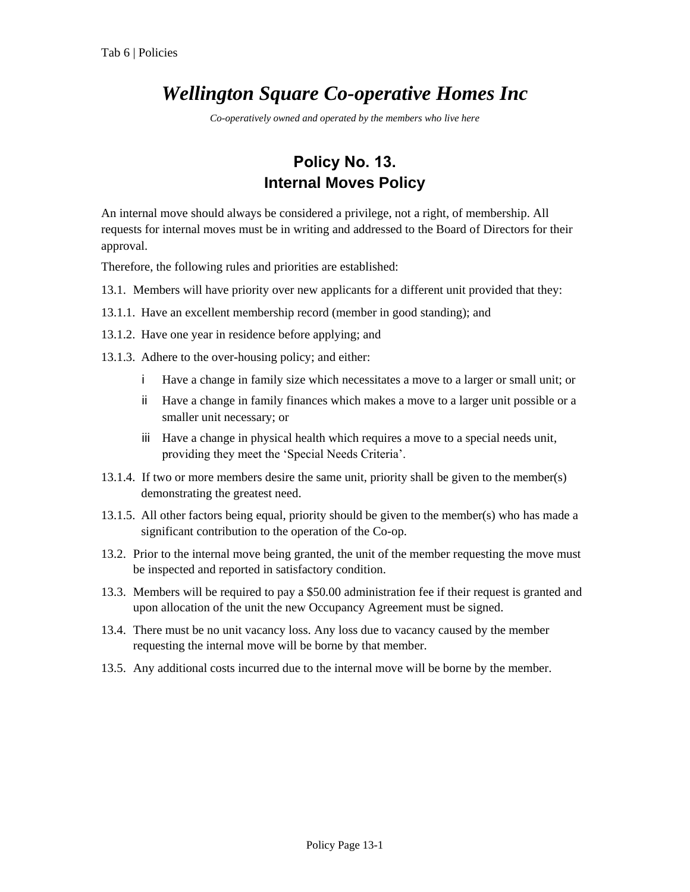## *Wellington Square Co-operative Homes Inc*

*Co-operatively owned and operated by the members who live here*

## **Policy No. 13. Internal Moves Policy**

An internal move should always be considered a privilege, not a right, of membership. All requests for internal moves must be in writing and addressed to the Board of Directors for their approval.

Therefore, the following rules and priorities are established:

- 13.1. Members will have priority over new applicants for a different unit provided that they:
- 13.1.1. Have an excellent membership record (member in good standing); and
- 13.1.2. Have one year in residence before applying; and
- 13.1.3. Adhere to the over-housing policy; and either:
	- i Have a change in family size which necessitates a move to a larger or small unit; or
	- ii Have a change in family finances which makes a move to a larger unit possible or a smaller unit necessary; or
	- iii Have a change in physical health which requires a move to a special needs unit, providing they meet the 'Special Needs Criteria'.
- 13.1.4. If two or more members desire the same unit, priority shall be given to the member(s) demonstrating the greatest need.
- 13.1.5. All other factors being equal, priority should be given to the member(s) who has made a significant contribution to the operation of the Co-op.
- 13.2. Prior to the internal move being granted, the unit of the member requesting the move must be inspected and reported in satisfactory condition.
- 13.3. Members will be required to pay a \$50.00 administration fee if their request is granted and upon allocation of the unit the new Occupancy Agreement must be signed.
- 13.4. There must be no unit vacancy loss. Any loss due to vacancy caused by the member requesting the internal move will be borne by that member.
- 13.5. Any additional costs incurred due to the internal move will be borne by the member.